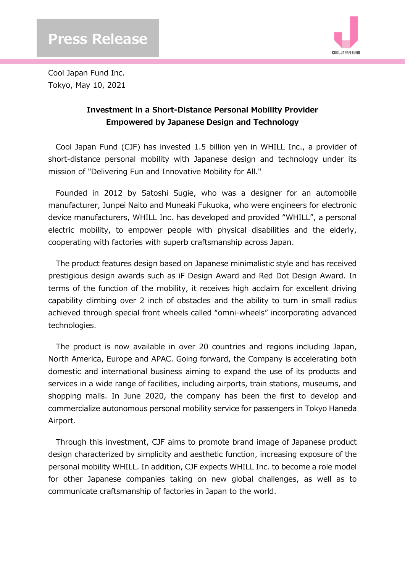

Cool Japan Fund Inc. Tokyo, May 10, 2021

## **Investment in a Short-Distance Personal Mobility Provider Empowered by Japanese Design and Technology**

Cool Japan Fund (CJF) has invested 1.5 billion yen in WHILL Inc., a provider of short-distance personal mobility with Japanese design and technology under its mission of "Delivering Fun and Innovative Mobility for All."

Founded in 2012 by Satoshi Sugie, who was a designer for an automobile manufacturer, Junpei Naito and Muneaki Fukuoka, who were engineers for electronic device manufacturers, WHILL Inc. has developed and provided "WHILL", a personal electric mobility, to empower people with physical disabilities and the elderly, cooperating with factories with superb craftsmanship across Japan.

The product features design based on Japanese minimalistic style and has received prestigious design awards such as iF Design Award and Red Dot Design Award. In terms of the function of the mobility, it receives high acclaim for excellent driving capability climbing over 2 inch of obstacles and the ability to turn in small radius achieved through special front wheels called "omni-wheels" incorporating advanced technologies.

The product is now available in over 20 countries and regions including Japan, North America, Europe and APAC. Going forward, the Company is accelerating both domestic and international business aiming to expand the use of its products and services in a wide range of facilities, including airports, train stations, museums, and shopping malls. In June 2020, the company has been the first to develop and commercialize autonomous personal mobility service for passengers in Tokyo Haneda Airport.

Through this investment, CJF aims to promote brand image of Japanese product design characterized by simplicity and aesthetic function, increasing exposure of the personal mobility WHILL. In addition, CJF expects WHILL Inc. to become a role model for other Japanese companies taking on new global challenges, as well as to communicate craftsmanship of factories in Japan to the world.